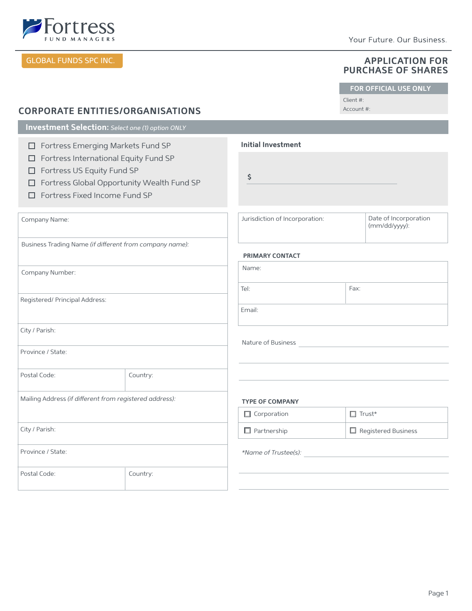

GLOBAL FUNDS SPC INC.

**CORPORATE ENTITIES/ORGANISATIONS**

### **APPLICATION FOR PURCHASE OF SHARES**

# **FOR OFFICIAL USE ONLY**

Client #: Account #:

# $\Box$  Fortress Emerging Markets Fund SP  $\Box$  Fortress International Equity Fund SP □ Fortress US Equity Fund SP Fortress Global Opportunity Wealth Fund SP □ Fortress Fixed Income Fund SP Company Number: Company Name: Business Trading Name (if different from company name): Tel: Email: Name: **PRIMARY CONTACT** Fax: Registered/ Principal Address: City / Parish: Mailing Address (if different from registered address): Postal Code: Country: Postal Code: Country: Province / State: City / Parish: Province / State: Nature of Business *\*Name of Trustee(s):* **TYPE OF COMPANY**  $\Box$  Corporation  $\Box$  Partnership  $\Box$  Trust\* Registered Business Jurisdiction of Incorporation: Date of Incorporation (mm/dd/yyyy): **Investment Selection:** *Select one (1) option ONLY* **Initial Investment \$**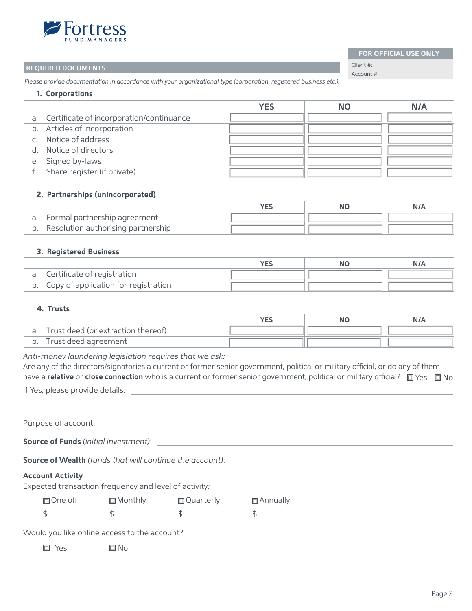

#### **REQUIRED DOCUMENTS**

## **FOR OFFICIAL USE ONLY**

Client #: Account #:

 *Please provide documentation in accordance with your organizational type (corporation, registered business etc.).*

#### **1. Corporations**

|                                             | YES | NΟ | N/A |
|---------------------------------------------|-----|----|-----|
| a. Certificate of incorporation/continuance |     |    |     |
| b. Articles of incorporation                |     |    |     |
| c. Notice of address                        |     |    |     |
| d. Notice of directors                      |     |    |     |
| e. Signed by-laws                           |     |    |     |
| Share register (if private)                 |     |    |     |

#### **2. Partnerships (unincorporated)**

|                                    | NC | N/A |
|------------------------------------|----|-----|
| a. Formal partnership agreement    |    |     |
| Resolution authorising partnership |    |     |

### **3. Registered Business**

|                                         | <b>NO</b> | N/A |
|-----------------------------------------|-----------|-----|
| a. Certificate of registration          |           |     |
| b. Copy of application for registration |           |     |

#### **4. Trusts**

|                                       | NΩ | N/A |
|---------------------------------------|----|-----|
| a. Trust deed (or extraction thereof) |    |     |
| Trust deed agreement                  |    |     |

*Anti-money laundering legislation requires that we ask:*

If Yes, please provide details: have a **relative** or **close connection** who is a current or former senior government, political or military official? □ Yes □ No Are any of the directors/signatories a current or former senior government, political or military official, or do any of them

Purpose of account: \_\_\_\_\_\_\_\_\_\_\_\_ **Source of Funds** *(initial investment)*: **Source of Wealth** *(funds that will continue the account)*: **Account Activity** Expected transaction frequency and level of activity*:* One o Monthly Quarterly Annually  $\uparrow$   $\uparrow$   $\uparrow$   $\uparrow$   $\uparrow$   $\uparrow$   $\uparrow$   $\uparrow$   $\uparrow$   $\uparrow$   $\uparrow$ 

Would you like online access to the account?

□ Yes □ No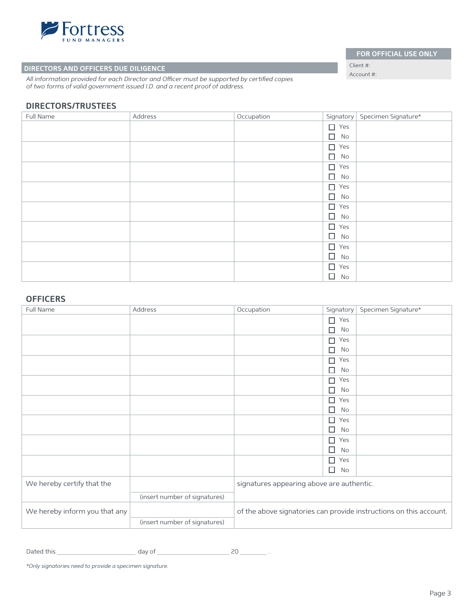

### **DIRECTORS AND OFFICERS DUE DILIGENCE**

All information provided for each Director and Officer must be supported by certified copies *of two forms of valid government issued I.D. and a recent proof of address.*

#### **DIRECTORS/TRUSTEES**

| Full Name | Address | Occupation |              | Signatory Specimen Signature* |
|-----------|---------|------------|--------------|-------------------------------|
|           |         |            | $\Box$ Yes   |                               |
|           |         |            | $\Box$<br>No |                               |
|           |         |            | $\Box$ Yes   |                               |
|           |         |            | п<br>No      |                               |
|           |         |            | П<br>Yes     |                               |
|           |         |            | No<br>□      |                               |
|           |         |            | $\Box$ Yes   |                               |
|           |         |            | $\Box$<br>No |                               |
|           |         |            | $\Box$ Yes   |                               |
|           |         |            | $\Box$<br>No |                               |
|           |         |            | $\Box$ Yes   |                               |
|           |         |            | $\Box$<br>No |                               |
|           |         |            | $\Box$ Yes   |                               |
|           |         |            | $\Box$<br>No |                               |
|           |         |            | $\Box$ Yes   |                               |
|           |         |            | $\Box$<br>No |                               |

### **OFFICERS**

| Full Name                     | Address                       | Occupation                                | Signatory                      | Specimen Signature*                                                |
|-------------------------------|-------------------------------|-------------------------------------------|--------------------------------|--------------------------------------------------------------------|
|                               |                               |                                           | Yes<br>П                       |                                                                    |
|                               |                               |                                           | No<br>- 1                      |                                                                    |
|                               |                               |                                           | Yes<br>П                       |                                                                    |
|                               |                               |                                           | No<br>- 1                      |                                                                    |
|                               |                               |                                           | Yes<br>┓                       |                                                                    |
|                               |                               |                                           | No<br>×.                       |                                                                    |
|                               |                               |                                           | Yes<br>┓                       |                                                                    |
|                               |                               |                                           | No<br>- 1                      |                                                                    |
|                               |                               |                                           | Yes<br>П                       |                                                                    |
|                               |                               |                                           | <b>No</b><br>- 1               |                                                                    |
|                               |                               |                                           | Yes<br>- 1                     |                                                                    |
|                               |                               |                                           | П<br>No                        |                                                                    |
|                               |                               |                                           | П<br>Yes                       |                                                                    |
|                               |                               |                                           | ⊣<br><b>No</b>                 |                                                                    |
|                               |                               |                                           | П<br>Yes                       |                                                                    |
|                               |                               |                                           | $\overline{\phantom{a}}$<br>No |                                                                    |
| We hereby certify that the    |                               | signatures appearing above are authentic. |                                |                                                                    |
|                               | (insert number of signatures) |                                           |                                |                                                                    |
| We hereby inform you that any |                               |                                           |                                | of the above signatories can provide instructions on this account. |
|                               | (insert number of signatures) |                                           |                                |                                                                    |

Dated this day of 20 .

*\*Only signatories need to provide a specimen signature.*

# **FOR OFFICIAL USE ONLY**

Client #: Account #: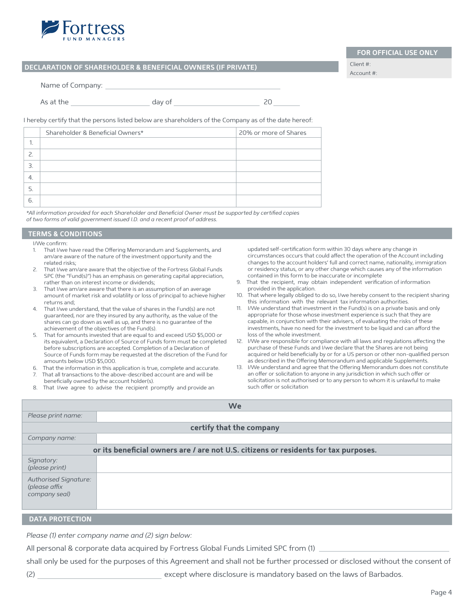

#### **DECLARATION OF SHAREHOLDER & BENEFICIAL OWNERS (IF PRIVATE)**

#### **FOR OFFICIAL USE ONLY**

Client #: Account #:

Name of Company: \_\_\_\_\_\_\_\_\_\_\_\_\_

As at the <u>and a second control and a second control and a second control and a second control and a second control and a second control and a second control and control and control and control and control and control and </u>

I hereby certify that the persons listed below are shareholders of the Company as of the date hereof:

|    | Shareholder & Beneficial Owners* | 20% or more of Shares |
|----|----------------------------------|-----------------------|
|    |                                  |                       |
| 2. |                                  |                       |
| 3. |                                  |                       |
| 4. |                                  |                       |
| 5. |                                  |                       |
| 6. |                                  |                       |

*\*All information provided for each Shareholder and Beneficial Owner must be supported by certified copies of two forms of valid government issued I.D. and a recent proof of address.*

#### **TERMS & CONDITIONS**

I/We confirm:

- 1. That I/we have read the Offering Memorandum and Supplements, and am/are aware of the nature of the investment opportunity and the related risks;
- 2. That I/we am/are aware that the objective of the Fortress Global Funds SPC (the "Fund(s)") has an emphasis on generating capital appreciation, rather than on interest income or dividends;
- That I/we am/are aware that there is an assumption of an average amount of market risk and volatility or loss of principal to achieve higher returns and;
- 4. That I/we understand, that the value of shares in the Fund(s) are not guaranteed, nor are they insured by any authority, as the value of the shares can go down as well as up, and there is no guarantee of the achievement of the objectives of the Fund(s).
- 5. That for amounts invested that are equal to and exceed USD \$5,000 or its equivalent, a Declaration of Source of Funds form must be completed before subscriptions are accepted. Completion of a Declaration of Source of Funds form may be requested at the discretion of the Fund for amounts below USD \$5,000.
- 6. That the information in this application is true, complete and accurate. That all transactions to the above-described account are and will be

beneficially owned by the account holder(s).

8. That I/we agree to advise the recipient promptly and provide an

 updated self-certification form within 30 days where any change in circumstances occurs that could affect the operation of the Account including changes to the account holders' full and correct name, nationality, immigration or residency status, or any other change which causes any of the information contained in this form to be inaccurate or incomplete

- 9. That the recipient, may obtain independent verification of information provided in the application.
- 10. That where legally obliged to do so, I/we hereby consent to the recipient sharing this information with the relevant tax information authorities.
- 11. I/We understand that investment in the Fund(s) is on a private basis and only appropriate for those whose investment experience is such that they are capable, in conjunction with their advisers, of evaluating the risks of these investments, have no need for the investment to be liquid and can afford the loss of the whole investment.
- 12. I/We are responsible for compliance with all laws and regulations affecting the purchase of these Funds and I/we declare that the Shares are not being acquired or held beneficially by or for a US person or other non-qualified person as described in the Offering Memorandum and applicable Supplements.
- 13. I/We understand and agree that the Offering Memorandum does not constitute an offer or solicitation to anyone in any jurisdiction in which such offer or solicitation is not authorised or to any person to whom it is unlawful to make such offer or solicitation

| <b>We</b>                                               |                                                                                     |  |  |
|---------------------------------------------------------|-------------------------------------------------------------------------------------|--|--|
| Please print name:                                      |                                                                                     |  |  |
|                                                         | certify that the company                                                            |  |  |
| Company name:                                           |                                                                                     |  |  |
|                                                         | or its beneficial owners are / are not U.S. citizens or residents for tax purposes. |  |  |
| Signatory:<br>(please print)                            |                                                                                     |  |  |
| Authorised Signature:<br>(please affix<br>company seal) |                                                                                     |  |  |
| <b>DATA PROTECTION</b>                                  |                                                                                     |  |  |

*Please (1) enter company name and (2) sign below:* 

All personal & corporate data acquired by Fortress Global Funds Limited SPC from (1)

shall only be used for the purposes of this Agreement and shall not be further processed or disclosed without the consent of (2) except where disclosure is mandatory based on the laws of Barbados.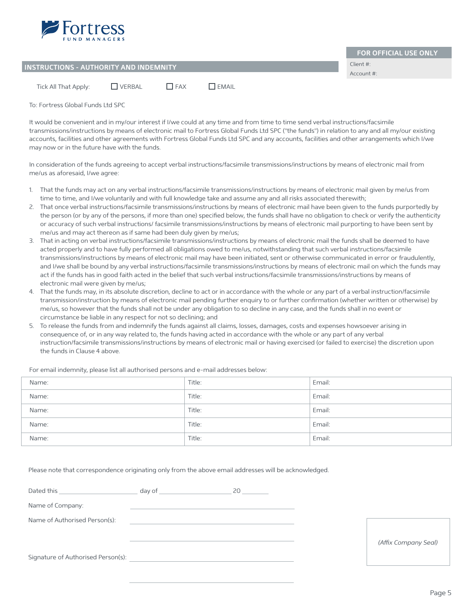

### **FOR OFFICIAL USE ONLY**

| Client #:  |  |
|------------|--|
| Account #: |  |

|  | <b>INSTRUCTIONS - AUTHORITY AND INDEMNITY</b> |
|--|-----------------------------------------------|
|  |                                               |
|  |                                               |

| Tick All That Apply: | $\Box$ VERBAL | $\Box$ FAX | $\Box$ EMAIL |
|----------------------|---------------|------------|--------------|

To: Fortress Global Funds Ltd SPC

It would be convenient and in my/our interest if I/we could at any time and from time to time send verbal instructions/facsimile transmissions/instructions by means of electronic mail to Fortress Global Funds Ltd SPC ("the funds") in relation to any and all my/our existing accounts, facilities and other agreements with Fortress Global Funds Ltd SPC and any accounts, facilities and other arrangements which I/we may now or in the future have with the funds.

In consideration of the funds agreeing to accept verbal instructions/facsimile transmissions/instructions by means of electronic mail from me/us as aforesaid, I/we agree:

- 1. That the funds may act on any verbal instructions/facsimile transmissions/instructions by means of electronic mail given by me/us from time to time, and I/we voluntarily and with full knowledge take and assume any and all risks associated therewith;
- 2. That once verbal instructions/facsimile transmissions/instructions by means of electronic mail have been given to the funds purportedly by the person (or by any of the persons, if more than one) specified below, the funds shall have no obligation to check or verify the authenticity or accuracy of such verbal instructions/ facsimile transmissions/instructions by means of electronic mail purporting to have been sent by me/us and may act thereon as if same had been duly given by me/us;
- 3. That in acting on verbal instructions/facsimile transmissions/instructions by means of electronic mail the funds shall be deemed to have acted properly and to have fully performed all obligations owed to me/us, notwithstanding that such verbal instructions/facsimile transmissions/instructions by means of electronic mail may have been initiated, sent or otherwise communicated in error or fraudulently, and I/we shall be bound by any verbal instructions/facsimile transmissions/instructions by means of electronic mail on which the funds may act if the funds has in good faith acted in the belief that such verbal instructions/facsimile transmissions/instructions by means of electronic mail were given by me/us;
- 4. That the funds may, in its absolute discretion, decline to act or in accordance with the whole or any part of a verbal instruction/facsimile transmission/instruction by means of electronic mail pending further enquiry to or further confirmation (whether written or otherwise) by me/us, so however that the funds shall not be under any obligation to so decline in any case, and the funds shall in no event or circumstance be liable in any respect for not so declining; and
- 5. To release the funds from and indemnify the funds against all claims, losses, damages, costs and expenses howsoever arising in consequence of, or in any way related to, the funds having acted in accordance with the whole or any part of any verbal instruction/facsimile transmissions/instructions by means of electronic mail or having exercised (or failed to exercise) the discretion upon the funds in Clause 4 above.

 Name: Title: Email: Name: Title: Email: Name: Title: Email: Name: Title: Email: Name: Title: Email:

For email indemnity, please list all authorised persons and e-mail addresses below:

Please note that correspondence originating only from the above email addresses will be acknowledged.

| Dated this                         | day of | 20 |                      |
|------------------------------------|--------|----|----------------------|
| Name of Company:                   |        |    |                      |
| Name of Authorised Person(s):      |        |    | (Affix Company Seal) |
| Signature of Authorised Person(s): |        |    |                      |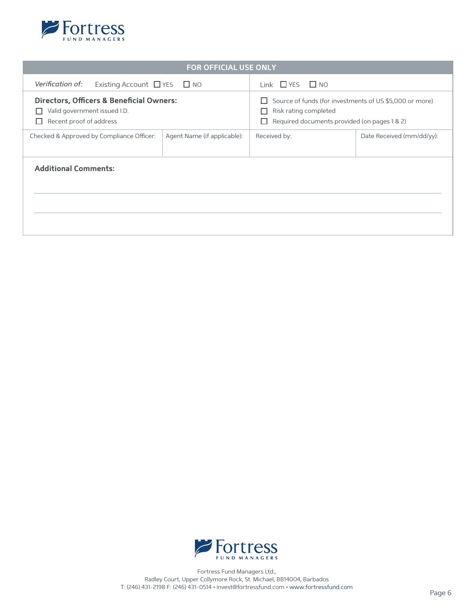

| FOR OFFICIAL USE ONLY                                                                                          |                             |                                                                                                                                                 |                           |
|----------------------------------------------------------------------------------------------------------------|-----------------------------|-------------------------------------------------------------------------------------------------------------------------------------------------|---------------------------|
| Verification of:<br>Existing Account $\Box$ YES $\Box$ NO                                                      |                             | $link$ $\Box$ YES $\Box$ NO                                                                                                                     |                           |
| <b>Directors, Officers &amp; Beneficial Owners:</b><br>Valid government issued I.D.<br>Recent proof of address |                             | Source of funds (for investments of US \$5,000 or more)<br>ப<br>Risk rating completed<br>г<br>Required documents provided (on pages 1 & 2)<br>П |                           |
| Checked & Approved by Compliance Officer:                                                                      | Agent Name (if applicable): | Received by:                                                                                                                                    | Date Received (mm/dd/yy): |
| <b>Additional Comments:</b>                                                                                    |                             |                                                                                                                                                 |                           |



Fortress Fund Managers Ltd., Radley Court, Upper Collymore Rock, St. Michael, BB14004, Barbados T: (246) 431-2198 F: (246) 431-0514 • invest@fortressfund.com • www.fortressfund.com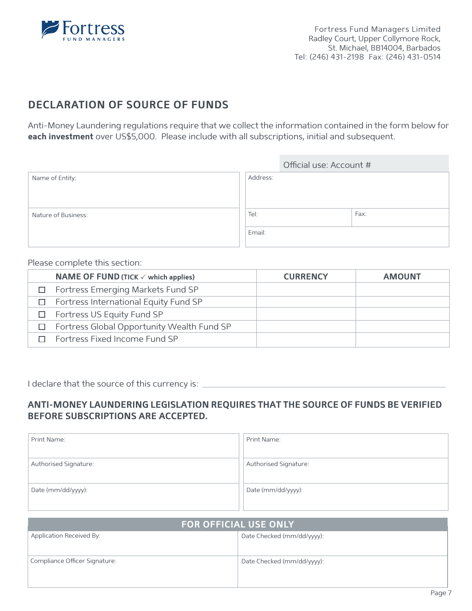

# **DECLARATION OF SOURCE OF FUNDS**

Anti-Money Laundering regulations require that we collect the information contained in the form below for **each investment** over US\$5,000. Please include with all subscriptions, initial and subsequent.

|                     |          | Official use: Account # |      |
|---------------------|----------|-------------------------|------|
| Name of Entity:     | Address: |                         |      |
|                     |          |                         |      |
|                     |          |                         |      |
| Nature of Business: | Tel:     |                         | Fax: |
|                     |          |                         |      |
|                     | Email:   |                         |      |
|                     |          |                         |      |

Please complete this section:

|        | <b>NAME OF FUND (TICK <math>\checkmark</math> which applies)</b> | <b>CURRENCY</b> | <b>AMOUNT</b> |
|--------|------------------------------------------------------------------|-----------------|---------------|
|        | $\Box$ Fortress Emerging Markets Fund SP                         |                 |               |
|        | $\Box$ Fortress International Equity Fund SP                     |                 |               |
|        | $\Box$ Fortress US Equity Fund SP                                |                 |               |
| $\Box$ | Fortress Global Opportunity Wealth Fund SP                       |                 |               |
|        | $\Box$ Fortress Fixed Income Fund SP                             |                 |               |

I declare that the source of this currency is:  $\equiv$ 

# **ANTI-MONEY LAUNDERING LEGISLATION REQUIRES THAT THE SOURCE OF FUNDS BE VERIFIED BEFORE SUBSCRIPTIONS ARE ACCEPTED.**

| Print Name:           | Print Name:           |
|-----------------------|-----------------------|
| Authorised Signature: | Authorised Signature: |
| Date (mm/dd/yyyy):    | Date (mm/dd/yyyy):    |

| <b>FOR OFFICIAL USE ONLY</b>  |                            |  |
|-------------------------------|----------------------------|--|
| Application Received By:      | Date Checked (mm/dd/yyyy): |  |
| Compliance Officer Signature: | Date Checked (mm/dd/yyyy): |  |